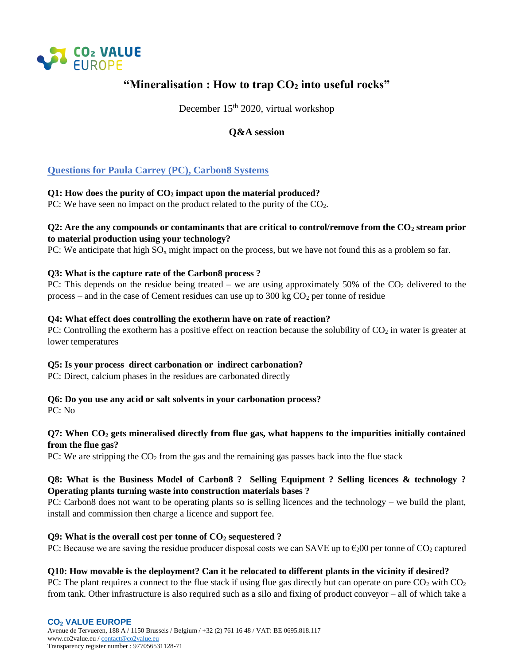

# **"Mineralisation : How to trap CO<sup>2</sup> into useful rocks"**

December 15<sup>th</sup> 2020, virtual workshop

## **Q&A session**

## **Questions for Paula Carrey (PC), Carbon8 Systems**

### **Q1: How does the purity of CO<sup>2</sup> impact upon the material produced?**

PC: We have seen no impact on the product related to the purity of the  $CO<sub>2</sub>$ .

### **Q2: Are the any compounds or contaminants that are critical to control/remove from the CO<sup>2</sup> stream prior to material production using your technology?**

PC: We anticipate that high  $SO_x$  might impact on the process, but we have not found this as a problem so far.

### **Q3: What is the capture rate of the Carbon8 process ?**

PC: This depends on the residue being treated – we are using approximately 50% of the  $CO<sub>2</sub>$  delivered to the process – and in the case of Cement residues can use up to  $300 \text{ kg CO}_2$  per tonne of residue

### **Q4: What effect does controlling the exotherm have on rate of reaction?**

PC: Controlling the exotherm has a positive effect on reaction because the solubility of  $CO<sub>2</sub>$  in water is greater at lower temperatures

### **Q5: Is your process direct carbonation or indirect carbonation?**

PC: Direct, calcium phases in the residues are carbonated directly

## **Q6: Do you use any acid or salt solvents in your carbonation process?**

PC: No

## **Q7: When CO<sup>2</sup> gets mineralised directly from flue gas, what happens to the impurities initially contained from the flue gas?**

PC: We are stripping the  $CO<sub>2</sub>$  from the gas and the remaining gas passes back into the flue stack

## **Q8: What is the Business Model of Carbon8 ? Selling Equipment ? Selling licences & technology ? Operating plants turning waste into construction materials bases ?**

PC: Carbon8 does not want to be operating plants so is selling licences and the technology – we build the plant, install and commission then charge a licence and support fee.

### **Q9: What is the overall cost per tonne of CO<sup>2</sup> sequestered ?**

PC: Because we are saving the residue producer disposal costs we can SAVE up to  $\epsilon_2$ 00 per tonne of CO<sub>2</sub> captured

### **Q10: How movable is the deployment? Can it be relocated to different plants in the vicinity if desired?**

PC: The plant requires a connect to the flue stack if using flue gas directly but can operate on pure  $CO_2$  with  $CO_2$ from tank. Other infrastructure is also required such as a silo and fixing of product conveyor – all of which take a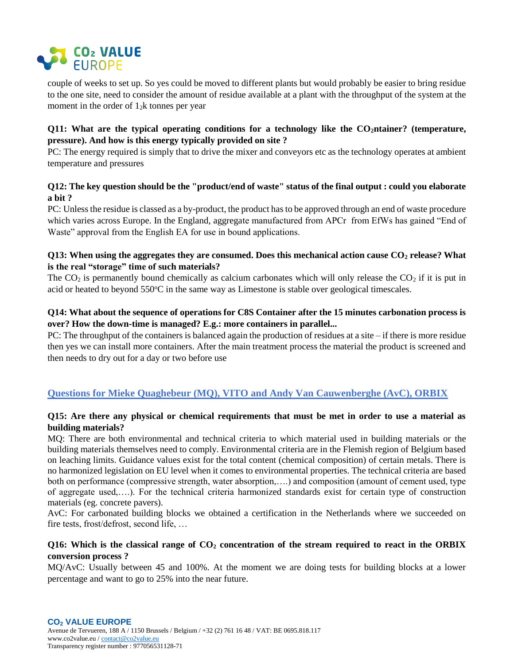

couple of weeks to set up. So yes could be moved to different plants but would probably be easier to bring residue to the one site, need to consider the amount of residue available at a plant with the throughput of the system at the moment in the order of  $1<sub>2</sub>k$  tonnes per year

#### **Q11: What are the typical operating conditions for a technology like the CO2ntainer? (temperature, pressure). And how is this energy typically provided on site ?**

PC: The energy required is simply that to drive the mixer and conveyors etc as the technology operates at ambient temperature and pressures

#### **Q12: The key question should be the "product/end of waste" status of the final output : could you elaborate a bit ?**

PC: Unless the residue is classed as a by-product, the product has to be approved through an end of waste procedure which varies across Europe. In the England, aggregate manufactured from APCr from EfWs has gained "End of Waste" approval from the English EA for use in bound applications.

#### **Q13: When using the aggregates they are consumed. Does this mechanical action cause CO<sup>2</sup> release? What is the real "storage" time of such materials?**

The  $CO<sub>2</sub>$  is permanently bound chemically as calcium carbonates which will only release the  $CO<sub>2</sub>$  if it is put in acid or heated to beyond  $550^{\circ}$ C in the same way as Limestone is stable over geological timescales.

## **Q14: What about the sequence of operations for C8S Container after the 15 minutes carbonation process is over? How the down-time is managed? E.g.: more containers in parallel...**

PC: The throughput of the containers is balanced again the production of residues at a site – if there is more residue then yes we can install more containers. After the main treatment process the material the product is screened and then needs to dry out for a day or two before use

## **Questions for Mieke Quaghebeur (MQ), VITO and Andy Van Cauwenberghe (AvC), ORBIX**

#### **Q15: Are there any physical or chemical requirements that must be met in order to use a material as building materials?**

MQ: There are both environmental and technical criteria to which material used in building materials or the building materials themselves need to comply. Environmental criteria are in the Flemish region of Belgium based on leaching limits. Guidance values exist for the total content (chemical composition) of certain metals. There is no harmonized legislation on EU level when it comes to environmental properties. The technical criteria are based both on performance (compressive strength, water absorption,….) and composition (amount of cement used, type of aggregate used,….). For the technical criteria harmonized standards exist for certain type of construction materials (eg. concrete pavers).

AvC: For carbonated building blocks we obtained a certification in the Netherlands where we succeeded on fire tests, frost/defrost, second life, …

### **Q16: Which is the classical range of CO<sup>2</sup> concentration of the stream required to react in the ORBIX conversion process ?**

MQ/AvC: Usually between 45 and 100%. At the moment we are doing tests for building blocks at a lower percentage and want to go to 25% into the near future.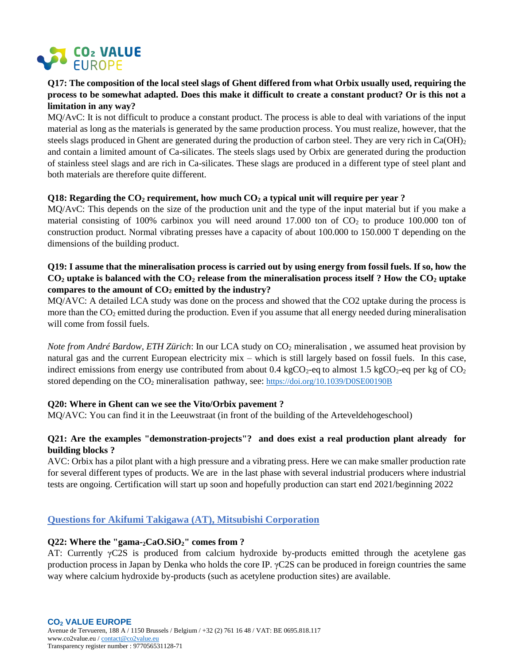

## **Q17: The composition of the local steel slags of Ghent differed from what Orbix usually used, requiring the process to be somewhat adapted. Does this make it difficult to create a constant product? Or is this not a limitation in any way?**

MQ/AvC: It is not difficult to produce a constant product. The process is able to deal with variations of the input material as long as the materials is generated by the same production process. You must realize, however, that the steels slags produced in Ghent are generated during the production of carbon steel. They are very rich in  $Ca(OH)_2$ and contain a limited amount of Ca-silicates. The steels slags used by Orbix are generated during the production of stainless steel slags and are rich in Ca-silicates. These slags are produced in a different type of steel plant and both materials are therefore quite different.

#### **Q18: Regarding the CO<sup>2</sup> requirement, how much CO<sup>2</sup> a typical unit will require per year ?**

MQ/AvC: This depends on the size of the production unit and the type of the input material but if you make a material consisting of 100% carbinox you will need around 17.000 ton of  $CO<sub>2</sub>$  to produce 100.000 ton of construction product. Normal vibrating presses have a capacity of about 100.000 to 150.000 T depending on the dimensions of the building product.

#### **Q19: I assume that the mineralisation process is carried out by using energy from fossil fuels. If so, how the CO<sup>2</sup> uptake is balanced with the CO<sup>2</sup> release from the mineralisation process itself ? How the CO<sup>2</sup> uptake compares to the amount of CO<sup>2</sup> emitted by the industry?**

MQ/AVC: A detailed LCA study was done on the process and showed that the CO2 uptake during the process is more than the  $CO<sub>2</sub>$  emitted during the production. Even if you assume that all energy needed during mineralisation will come from fossil fuels.

*Note from André Bardow, ETH Zürich*: In our LCA study on CO<sub>2</sub> mineralisation, we assumed heat provision by natural gas and the current European electricity mix – which is still largely based on fossil fuels. In this case, indirect emissions from energy use contributed from about 0.4 kgCO<sub>2</sub>-eq to almost 1.5 kgCO<sub>2</sub>-eq per kg of  $CO<sub>2</sub>$ stored depending on the  $CO<sub>2</sub>$  mineralisation pathway, see: <https://doi.org/10.1039/D0SE00190B>

### **Q20: Where in Ghent can we see the Vito/Orbix pavement ?**

MQ/AVC: You can find it in the Leeuwstraat (in front of the building of the Arteveldehogeschool)

### **Q21: Are the examples "demonstration-projects"? and does exist a real production plant already for building blocks ?**

AVC: Orbix has a pilot plant with a high pressure and a vibrating press. Here we can make smaller production rate for several different types of products. We are in the last phase with several industrial producers where industrial tests are ongoing. Certification will start up soon and hopefully production can start end 2021/beginning 2022

### **Questions for Akifumi Takigawa (AT), Mitsubishi Corporation**

#### **Q22: Where the "gama-2CaO.SiO2" comes from ?**

AT: Currently γC2S is produced from calcium hydroxide by-products emitted through the acetylene gas production process in Japan by Denka who holds the core IP.  $\gamma$ C2S can be produced in foreign countries the same way where calcium hydroxide by-products (such as acetylene production sites) are available.